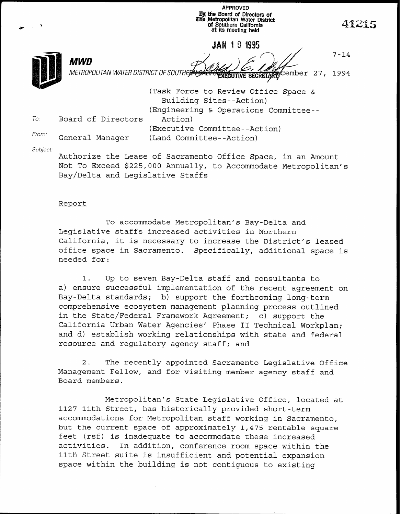APPROVED I& tie Board of Directors of illie Metropolitan Water District Qf Southern California at its meeting held

**JAN 101995** 

7-14



MWD

METROPOLITAN WATER DISTRICT OF SOUTHERN SALT CRECUTIVE SECRETARY Cember 27, 1994

(Task Force to Review Office Space  $\&$ Building Sites--Action) (Engineering & Operations Committee-- To. Board of Directors Action) (Executive Committee--Action) From: General Manager (Land Committee--Action)

Subject:

Authorize the Lease of Sacramento Office Space, in an Amount Not To Exceed \$225,000 Annually, to Accommodate Metropolitan's Bay/Delta and Legislative Staffs

## Report

To accommodate Metropolitan's Bay-Delta and Legislative staffs increased activities in Northern California, it is necessary to increase the District's leased office space in Sacramento. Specifically, additional space is needed for:

1. Up to seven Bay-Delta staff and consultants to a) ensure successful implementation of the recent agreement on Bay-Delta standards; b) support the forthcoming long-term comprehensive ecosystem management planning process outlined in the State/Federal Framework Agreement; c) support the California Urban Water Agencies' Phase II Technical Workplan; and d) establish working relationships with state and federal resource and regulatory agency staff; and

2. The recently appointed Sacramento Legislative Office Management Fellow, and for visiting member agency staff and Board members.

Metropolitan's State Legislative Office, located at 1127 11th Street, has historically provided short-term accommodations for Metropolitan staff working in Sacramento, but the current space of approximately 1,475 rentable square feet (rsf) is inadequate to accommodate these increased activities. In addition, conference room space within the 11th Street suite is insufficient and potential expansion space within the building is not contiguous to existing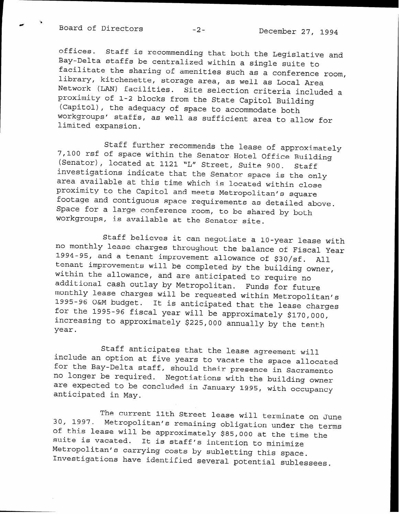Board of Directors -2- December 27, 1994

offices. Staff is recommending that both the Legislative and Bay-Delta staffs be centralized within a single suite to <sup>Lacilitate the sharing of amenities such as a conference room</sup> library, kitchenette, storage area, as well as Local Area Network (LAN) facilities. Site selection criteria included a proximity of l-2 blocks from the State Capitol Building (Capitol), the adequacy of space to accommodate both workgroups' staris, as well as sufficient area to allow for limited expansion.

Staff further recommends the lease of approximately 7,100 rsf of space within the Senator Hotel Office Building (Senator), located at 1121 'L" Street, Suite 900. Staff investigations indicate that the Senator space is the only area available at this time which is located within close proximity to the Capitol and meets Metropolitan's square footage and contiguous space requirements as detailed above. Space for a large conference room, to be shared by both workgroups, is available at the Senator site.

Staff believes it can negotiate a IO-year lease with no monthly lease charges throughout the balance of Fiscal Year 1994-95, and a tenant improvement allowance of \$30/sf. All tenant improvements will be completed by the building owner, within the allowance, and are anticipated to require no additional cash outlay by Metropolitan. Funds for future monthly lease charges will be requested within Metropolitan's 1995-96 O&M budget. It is anticipated that the lease charges for the 1995-96 fiscal year will be approximately \$170,000 increasing to approximately \$225,000 annually by the tenth' year.

Staff anticipates that the lease agreement will include an option at five years to vacate the space allocated LOI the Bay-Delta staff, should their presence in Sacramen no longer be required. Negotiations with the building owner are expected to be concluded in January 1995, with occupancy anticipated in May.

30, 1997. Metropolitan's remaining obligation under the terms The current 11th Street lease will terminate on June of this lease will be approximately \$85,000 at the time the suite is vacated. It is staff's intention to minimize Metropolitan's carrying costs by subletting this space. Investigations have identified several potential sublessees.